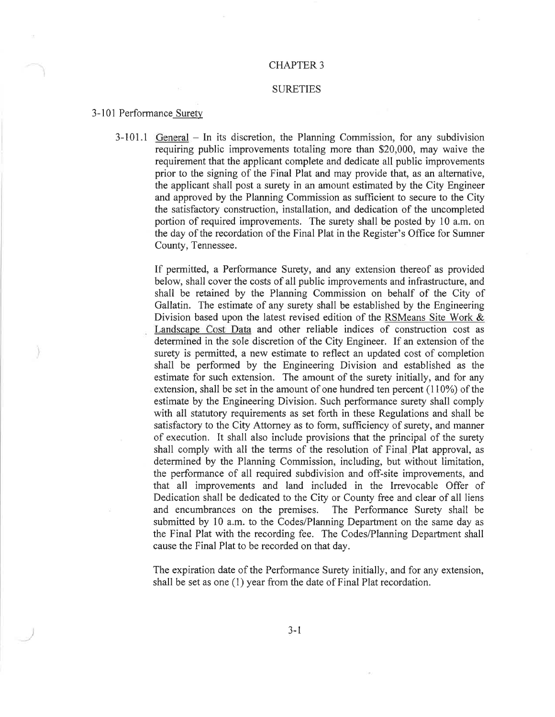#### CHAPTER 3

### **SURETIES**

#### 3-101 Performance Surety

3-101.1 General – In its discretion, the Planning Commission, for any subdivision requiring public improvements totaling more than \$20,000, may waive the requirement that the applicant complete and dedicate all public improvements prior to the signing of the Final Plat and may provide that, as an alternative, the applicant shall post a surety in an amount estimated by the City Engineer and approved by the Planning Commission as sufficient to secure to the City the satisfactory construction, installation, and dedication of the uncompleted portion of required improvements. The surety shall be posted by 10 a.m. on the day of the recordation of the Final Plat in the Register's Office for Sumner County, Tennessee.

> If permitted, a Performance Surety, and any extension thereof as provided below, shall cover the costs of all public improvements and infrastructure, and shall be retained by the Planning Commission on behalf of the City of Gallatin. The estimate of any surety shall be established by the Engineering Division based upon the latest revised edition of the RSMeans Site Work & Landscape Cost Data and other reliable indices of construction cost as determined in the sole discretion of the City Engineer. If an extension of the surety is permitted, a new estimate to reflect an updated cost of completion shall be performed by the Engineering Division and established as the estimate for such extension. The amount of the surety initially, and for any extension, shall be set in the amount of one hundred ten percent (110%) of the estimate by the Engineering Division. Such performance surety shall comply with all statutory requirements as set forth in these Regulations and shall be satisfactory to the City Attorney as to form, sufficiency of surety, and manner of execution. It shall also include provisions that the principal of the surety shall comply with all the terms of the resolution of Final Plat approval, as determined by the Planning Commission, including, but without limitation, the performance of all required subdivision and off-site improvements, and that all improvements and land included in the Irrevocable Offer of Dedication shall be dedicated to the City or County free and clear of all liens and encumbrances on the premises. The Performance Surety shall be submitted by 10 a.m. to the Codes/Planning Department on the same day as the Final Plat with the recording fee. The Codes/Planning Department shall cause the Final Plat to be recorded on that day.

> The expiration date of the Performance Surety initially, and for any extension, shall be set as one (1) year from the date of Final Plat recordation.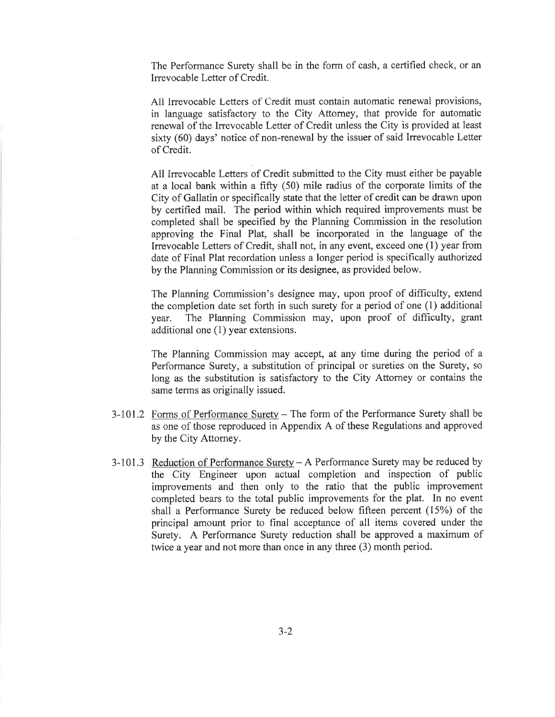The Performance Surety shall be in the form of cash, a certified check, or an Irrevocable Letter of Credit.

All Irrevocable Letters of Credit must contain automatic renewal provisions, in language satisfactory to the City Attomey, that provide for automatic renewal of the Irrevocable Letter of Credit unless the City is provided at least sixty (60) days' notice of non-renewal by the issuer of said Irrevocable Letter of Credit.

All Irrevocable Letters of Credit submitted to the City must either be payable at a local bank within a fifty (50) mile radius of the corporate limits of the City of Gallatin or specifically state that the letter of credit can be drawn upon by certified mail. The period within which required improvements must be completed shall be specified by the Planning Commission in the resolution approving the Final Plat, shall be incorporated in the language of the Irrevocable Letters of Credit, shall not, in any event, exceed one (l) year from date of Final Plat recordation unless a longer period is specifically authorized by the Planning Commission or its designee, as provided below.

The Planning Commission's designee may, upon proof of difficulty, extend the completion date set forth in such surety for a period of one (1) additional year. The Planning Commission may, upon proof of difficulty, grant additional one (1) year extensions.

The Planning Commission may accept, at any time during the period of a Performance Surety, a substitution of principal or sureties on the Surety, so long as the substitution is satisfactory to the City Attorney or contains the same terrns as originally issued.

- 3-101.2 Forms of Performance Surety The form of the Performance Surety shall be as one of those reproduced in Appendix A of these Regulations and approved by the City Attorney.
- 3-101.3 Reduction of Performance Surety  $A$  Performance Surety may be reduced by the City Engineer upon actual completion and inspection of public improvements and then only to the ratio that the public improvement completed bears to the total public improvements for the plat. In no event shall a Performance Surety be reduced below fifteen percent (15%) of the principal amount prior to final acceptance of all items covered under the Surety. A Performance Surety reduction shall be approved a maximum of twice a year and not more than once in any three (3) month period.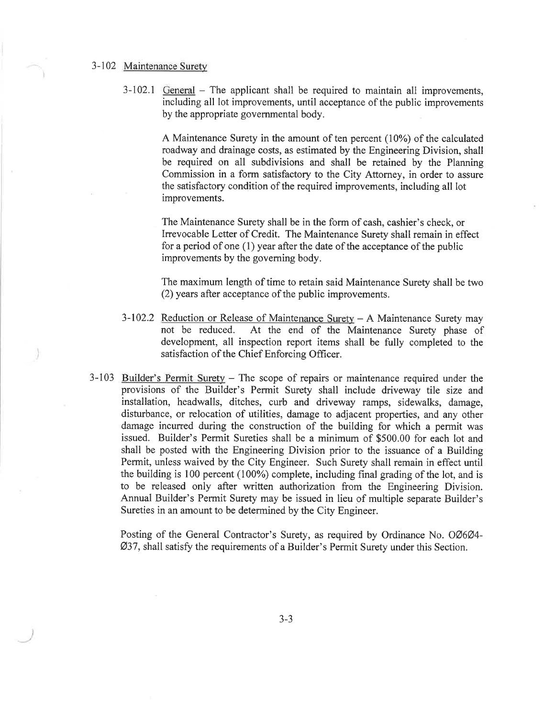## 3-102 Maintenance Suretv

 $3-102.1$  General – The applicant shall be required to maintain all improvements, including all lot improvements, until acceptance of the public improvements by the appropriate governmental body.

> A Maintenance Surety in the amount of ten percent (10%) of the calculated roadway and drainage costs, as estimated by the Engineering Division, shall be required on all subdivisions and shall be retained by the Planning Commission in a form satisfactory to the City Attorney, in order to assure the satisfactory condition of the required improvements, including all lot improvements.

The Maintenance Surety shall be in the form of cash, cashier's check, or Irrevocable Letter of Credit. The Maintenance Surety shall remain in effect for a period of one  $(1)$  year after the date of the acceptance of the public improvements by the goveming body.

The maximum length of time to retain said Maintenance Surety shall be two (2) years after acceptance of the public improvements.

- $3-102.2$  Reduction or Release of Maintenance Surety A Maintenance Surety may not be reduced. At the end of the Maintenance Surety phase of At the end of the Maintenance Surety phase of development, all inspection report items shall be fully completed to the satisfaction of the Chief Enforcing Officer.
- $3-103$  Builder's Permit Surety The scope of repairs or maintenance required under the provisions of the Builder's Permit Surety shall include driveway tile size and installation, headwalls, ditches, curb and driveway ramps, sidewalks, damage, disturbance, or relocation of utilities, damage to adjacent properties, and any other damage incurred during the construction of the building for which a permit was issued. Builder's Permit Sureties shall be a minimum of \$500.00 for each lot and shall be posted with the Engineering Division prior to the issuance of a Building Permit, unless waived by the City Engineer. Such Surety shall remain in effect until the building is 100 percent (100%) complete, including final grading of the lot, and is to be released only after written authorization from the Engineering Division. Annual Builder's Permit Surety may be issued in lieu of multiple separate Builder's Sureties in an amount to be determined by the City Engineer.

Posting of the General Contractor's Surety, as required by Ordinance No. 0Ø6Ø4- Ø37 , shall satisfy the requirements of a Builder's Permit Surety under this Section.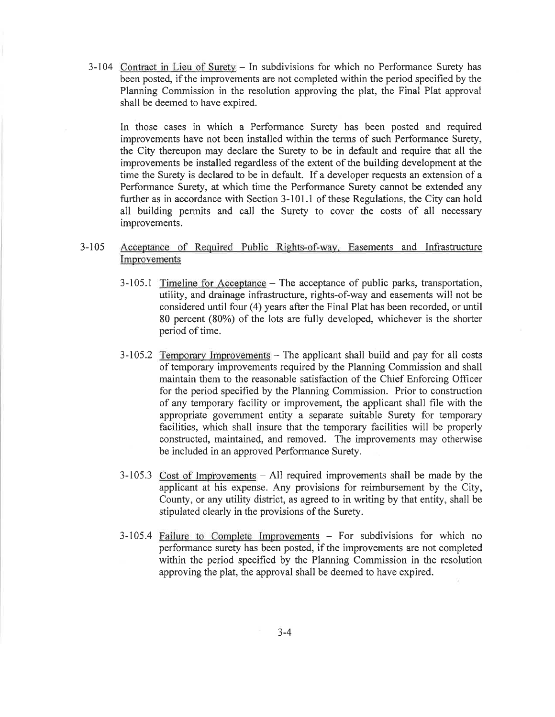3-104 Contract in Lieu of Surety - In subdivisions for which no Performance Surety has been posted, if the improvements are not completed within the period specified by the Planning Commission in the resolution approving the plat, the Final Plat approval shall be deemed to have expired.

In those cases in which a Performance Surety has been posted and required improvements have not been installed within the terms of such Performance Surety, the City thereupon may declare the Surety to be in default and require that all the improvements be installed regardless of the extent of the building development at the time the Surety is declared to be in default. If a developer requests an extension of a Performance Surety, at which time the Performance Surety cannot be extended any further as in accordance with Section  $3-101.1$  of these Regulations, the City can hold all building permits and call the Surety to cover the costs of all necessary improvements.

# 3-1 <sup>05</sup> Acceptance of Reqgired Public Rights-of-way. Easements and Infrastructure Improvements

- 3-105.1 Timeline for Acceptance The acceptance of public parks, transportation, utility, and drainage infrastructure, rights-of-way and easements will not be considered until four (4) years after the Final Plat has been recorded, or until 80 percent (80%) of the lots are fully developed, whichever is the shorter period of time.
- $3-105.2$  Temporary Improvements  $-$  The applicant shall build and pay for all costs of temporary improvements required by the Planning Commission and shall maintain them to the reasonable satisfaction of the Chief Enforcing Offrcer for the period specified by the Planning Commission. Prior to construction of any temporary facility or improvement, the applicant shall file with the appropriate government entity a separate suitable Surety for temporary facilities, which shall insure that the temporary facilities will be properly constructed, maintained, and removed. The improvements may otherwise be included in an approved Performance Surety.
- $3-105.3$  Cost of Improvements  $-$  All required improvements shall be made by the applicant at his expense. Any provisions for reimbursement by the City, County, or any utility district, as agreed to in writing by that entity, shall be stipulated clearly in the provisions of the Surety.
- 3-105.4 Failure to Complete Improvements For subdivisions for which no performance surety has been posted, if the improvements are not completed within the period specified by the Planning Commission in the resolution approving the plat, the approval shall be deemed to have expired.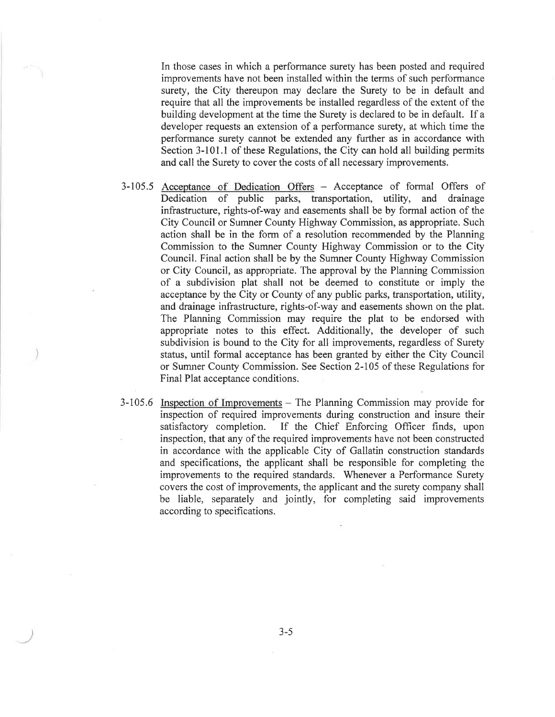In those cases in which a performance surety has been posted and required improvements have not been installed within the terms of such performance surety, the City thereupon may declare the Surety to be in default and require that all the improvements be installed regardless of the extent of the building development at the time the Surety is declared to be in default. If a developer requests an extension of a performance surety, at which time the performance surety cannot be extended any further as in accordance with Section 3-101.1 of these Regulations, the City can hold all building permits and call the Surety to cover the costs of all necessary improvements.

- 3-105.5 Acceptance of Dedication Offers Acceptance of formal Offers of Dedication of public parks, transportation, utility, and drainage infrastructure, rights-of-way and easements shall be by formal action of the City Council or Sumner County Highway Commission, as appropriate. Such action shall be in the form of a resolution recommended by the Planning Commission to the Sumner County Highway Commission or to the City Council. Final action shall be by the Sumner County Highway Commission or City Council, as appropriate. The approval by the Planning Commission of a subdivision plat shall not be deemed to constitute or imply the acceptance by the City or County of any public parks, transportation, utility, and drainage infrastructure, rights-of-way and easements shown on the plat. The Planning Commission may require the plat to be endorsed with appropriate notes to this effect. Additionally, the developer of such subdivision is bound to the City for all improvements, regardless of Surety status, until formal acceptance has been granted by either the City Council or Sumner County Commission. See Section 2-105 of these Regulations for Final Plat acceptance conditions.
- 3-105.6 Inspection of Improvements The Planning Commission may provide for inspection of required improvements during construction and insure their satisfactory completion. If the Chief Enforcing Officer finds, upon inspection, that any of the required improvements have not been constructed in accordance with the applicable City of Gallatin construction standards and specifications, the applicant shall be responsible for completing the improvements to the required standards. Whenever a Performance Surety covers the cost of improvements, the applicant and the surety company shall be liable, separately and jointly, for completing said improvements according to specifications.